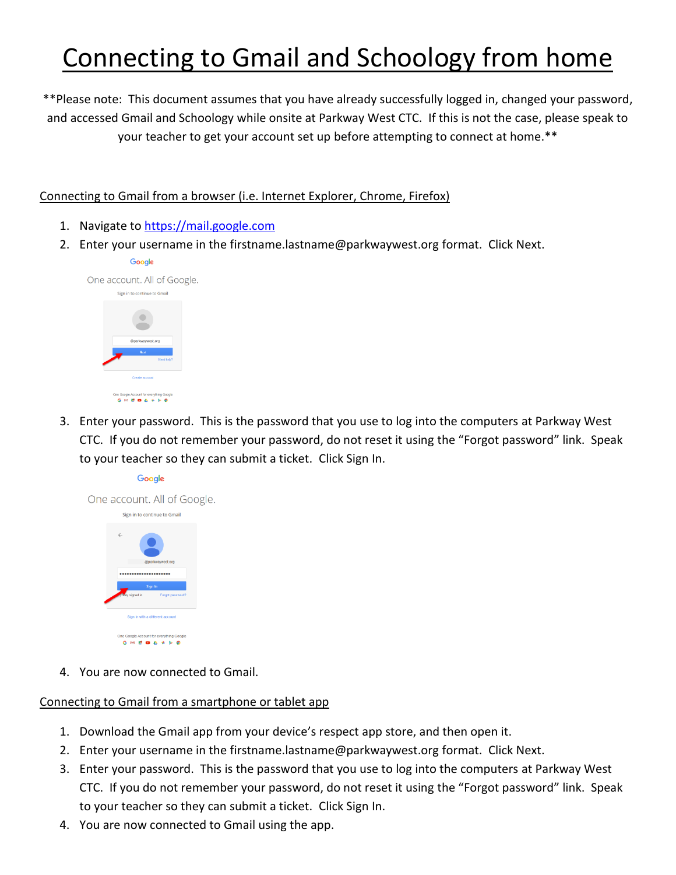## Connecting to Gmail and Schoology from home

\*\*Please note: This document assumes that you have already successfully logged in, changed your password, and accessed Gmail and Schoology while onsite at Parkway West CTC. If this is not the case, please speak to your teacher to get your account set up before attempting to connect at home.\*\*

Connecting to Gmail from a browser (i.e. Internet Explorer, Chrome, Firefox)

- 1. Navigate to [https://mail.google.com](https://mail.google.com/)
- 2. Enter your username in the firstname.lastname@parkwaywest.org format. Click Next.



3. Enter your password. This is the password that you use to log into the computers at Parkway West CTC. If you do not remember your password, do not reset it using the "Forgot password" link. Speak to your teacher so they can submit a ticket. Click Sign In.



4. You are now connected to Gmail.

## Connecting to Gmail from a smartphone or tablet app

- 1. Download the Gmail app from your device's respect app store, and then open it.
- 2. Enter your username in the firstname.lastname@parkwaywest.org format. Click Next.
- 3. Enter your password. This is the password that you use to log into the computers at Parkway West CTC. If you do not remember your password, do not reset it using the "Forgot password" link. Speak to your teacher so they can submit a ticket. Click Sign In.
- 4. You are now connected to Gmail using the app.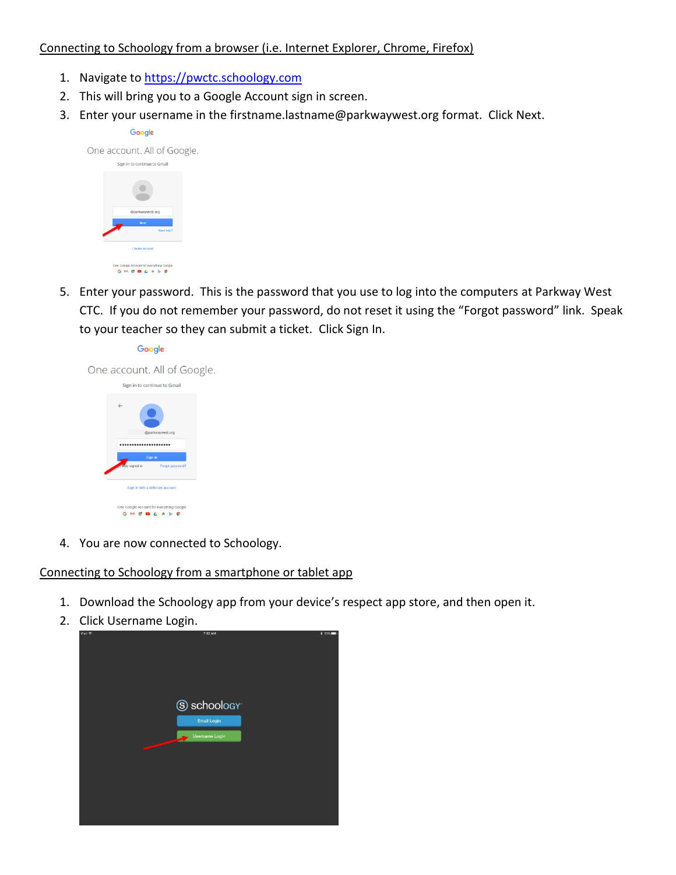## Connecting to Schoology from a browser (i.e. Internet Explorer, Chrome, Firefox)

- 1. Navigate to [https://pwctc.schoology.com](https://pwctc.schoology.com/)
- 2. This will bring you to a Google Account sign in screen.
- 3. Enter your username in the firstname.lastname@parkwaywest.org format. Click Next.



5. Enter your password. This is the password that you use to log into the computers at Parkway West CTC. If you do not remember your password, do not reset it using the "Forgot password" link. Speak to your teacher so they can submit a ticket. Click Sign In.



4. You are now connected to Schoology.

## Connecting to Schoology from a smartphone or tablet app

- 1. Download the Schoology app from your device's respect app store, and then open it.
- 2. Click Username Login.

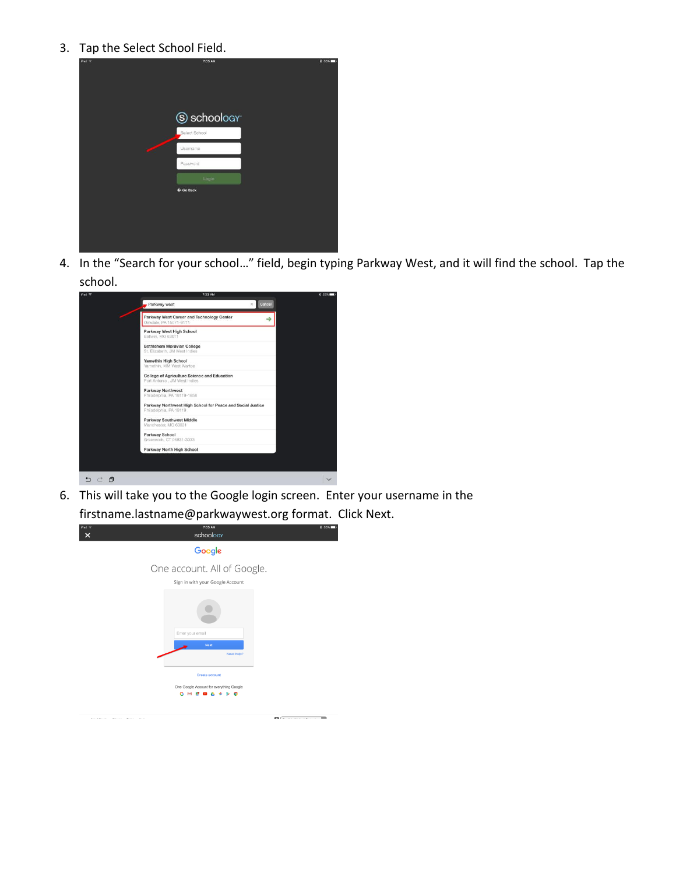3. Tap the Select School Field.

| iPad + | 7:33 AM              | <b>\$ 83%</b> |
|--------|----------------------|---------------|
|        |                      |               |
|        |                      |               |
|        |                      |               |
|        | S schoology          |               |
|        | Select School        |               |
|        | Usemame              |               |
|        | Password             |               |
|        | Login                |               |
|        | $\leftarrow$ Go Back |               |
|        |                      |               |
|        |                      |               |
|        |                      |               |
|        |                      |               |

4. In the "Search for your school…" field, begin typing Parkway West, and it will find the school. Tap the school.



6. This will take you to the Google login screen. Enter your username in the firstname.lastname@parkwaywest.org format. Click Next.